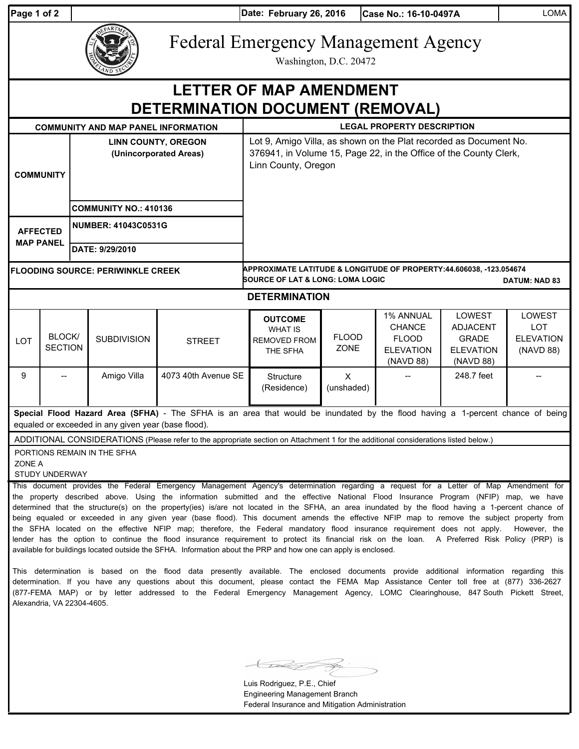| Page 1 of 2 |  |  |  |
|-------------|--|--|--|
|-------------|--|--|--|

**Date: Case No.: 16-10-0497A** LOMA **Page 1 of 2 February 26, 2016**

# Federal Emergency Management Agency

Washington, D.C. 20472

| <b>LETTER OF MAP AMENDMENT</b><br>DETERMINATION DOCUMENT (REMOVAL)                                                                                                                                                                                                                                                                                                                                                                                                                                                                                                                                                                                                                                                                                                                                                                                                          |                          |                                                      |                    |                                                                                                                                                               |                                                                                                                                 |                             |                                                                             |                                                                            |                                                       |  |  |
|-----------------------------------------------------------------------------------------------------------------------------------------------------------------------------------------------------------------------------------------------------------------------------------------------------------------------------------------------------------------------------------------------------------------------------------------------------------------------------------------------------------------------------------------------------------------------------------------------------------------------------------------------------------------------------------------------------------------------------------------------------------------------------------------------------------------------------------------------------------------------------|--------------------------|------------------------------------------------------|--------------------|---------------------------------------------------------------------------------------------------------------------------------------------------------------|---------------------------------------------------------------------------------------------------------------------------------|-----------------------------|-----------------------------------------------------------------------------|----------------------------------------------------------------------------|-------------------------------------------------------|--|--|
| <b>LEGAL PROPERTY DESCRIPTION</b><br><b>COMMUNITY AND MAP PANEL INFORMATION</b>                                                                                                                                                                                                                                                                                                                                                                                                                                                                                                                                                                                                                                                                                                                                                                                             |                          |                                                      |                    |                                                                                                                                                               |                                                                                                                                 |                             |                                                                             |                                                                            |                                                       |  |  |
| <b>COMMUNITY</b>                                                                                                                                                                                                                                                                                                                                                                                                                                                                                                                                                                                                                                                                                                                                                                                                                                                            |                          | <b>LINN COUNTY, OREGON</b><br>(Unincorporated Areas) |                    | Lot 9, Amigo Villa, as shown on the Plat recorded as Document No.<br>376941, in Volume 15, Page 22, in the Office of the County Clerk,<br>Linn County, Oregon |                                                                                                                                 |                             |                                                                             |                                                                            |                                                       |  |  |
|                                                                                                                                                                                                                                                                                                                                                                                                                                                                                                                                                                                                                                                                                                                                                                                                                                                                             |                          | <b>COMMUNITY NO.: 410136</b>                         |                    |                                                                                                                                                               |                                                                                                                                 |                             |                                                                             |                                                                            |                                                       |  |  |
| <b>AFFECTED</b><br><b>MAP PANEL</b>                                                                                                                                                                                                                                                                                                                                                                                                                                                                                                                                                                                                                                                                                                                                                                                                                                         |                          | <b>NUMBER: 41043C0531G</b>                           |                    |                                                                                                                                                               |                                                                                                                                 |                             |                                                                             |                                                                            |                                                       |  |  |
|                                                                                                                                                                                                                                                                                                                                                                                                                                                                                                                                                                                                                                                                                                                                                                                                                                                                             |                          | DATE: 9/29/2010                                      |                    |                                                                                                                                                               |                                                                                                                                 |                             |                                                                             |                                                                            |                                                       |  |  |
| <b>FLOODING SOURCE: PERIWINKLE CREEK</b>                                                                                                                                                                                                                                                                                                                                                                                                                                                                                                                                                                                                                                                                                                                                                                                                                                    |                          |                                                      |                    |                                                                                                                                                               | APPROXIMATE LATITUDE & LONGITUDE OF PROPERTY:44.606038, -123.054674<br>SOURCE OF LAT & LONG: LOMA LOGIC<br><b>DATUM: NAD 83</b> |                             |                                                                             |                                                                            |                                                       |  |  |
| <b>DETERMINATION</b>                                                                                                                                                                                                                                                                                                                                                                                                                                                                                                                                                                                                                                                                                                                                                                                                                                                        |                          |                                                      |                    |                                                                                                                                                               |                                                                                                                                 |                             |                                                                             |                                                                            |                                                       |  |  |
| LOT                                                                                                                                                                                                                                                                                                                                                                                                                                                                                                                                                                                                                                                                                                                                                                                                                                                                         | BLOCK/<br><b>SECTION</b> |                                                      | <b>SUBDIVISION</b> | <b>STREET</b>                                                                                                                                                 | <b>OUTCOME</b><br><b>WHAT IS</b><br><b>REMOVED FROM</b><br>THE SFHA                                                             | <b>FLOOD</b><br><b>ZONE</b> | 1% ANNUAL<br><b>CHANCE</b><br><b>FLOOD</b><br><b>ELEVATION</b><br>(NAVD 88) | LOWEST<br><b>ADJACENT</b><br><b>GRADE</b><br><b>ELEVATION</b><br>(NAVD 88) | LOWEST<br><b>LOT</b><br><b>ELEVATION</b><br>(NAVD 88) |  |  |
| 9                                                                                                                                                                                                                                                                                                                                                                                                                                                                                                                                                                                                                                                                                                                                                                                                                                                                           |                          |                                                      | Amigo Villa        | 4073 40th Avenue SE                                                                                                                                           | <b>Structure</b><br>(Residence)                                                                                                 | X<br>(unshaded)             |                                                                             | 248.7 feet                                                                 |                                                       |  |  |
| Special Flood Hazard Area (SFHA) - The SFHA is an area that would be inundated by the flood having a 1-percent chance of being<br>equaled or exceeded in any given year (base flood).                                                                                                                                                                                                                                                                                                                                                                                                                                                                                                                                                                                                                                                                                       |                          |                                                      |                    |                                                                                                                                                               |                                                                                                                                 |                             |                                                                             |                                                                            |                                                       |  |  |
| ADDITIONAL CONSIDERATIONS (Please refer to the appropriate section on Attachment 1 for the additional considerations listed below.)<br>PORTIONS REMAIN IN THE SFHA<br>ZONE A<br><b>STUDY UNDERWAY</b>                                                                                                                                                                                                                                                                                                                                                                                                                                                                                                                                                                                                                                                                       |                          |                                                      |                    |                                                                                                                                                               |                                                                                                                                 |                             |                                                                             |                                                                            |                                                       |  |  |
| This document provides the Federal Emergency Management Agency's determination regarding a request for a Letter of Map Amendment for<br>the property described above. Using the information submitted and the effective National Flood Insurance Program (NFIP) map, we have<br>determined that the structure(s) on the property(ies) is/are not located in the SFHA, an area inundated by the flood having a 1-percent chance of<br>being equaled or exceeded in any given year (base flood). This document amends the effective NFIP map to remove the subject property from<br>the SFHA located on the effective NFIP map; therefore, the Federal mandatory flood insurance requirement does not apply.<br>However, the<br>lender has the option to continue the flood insurance requirement to protect its financial risk on the loan. A Preferred Risk Policy (PRP) is |                          |                                                      |                    |                                                                                                                                                               |                                                                                                                                 |                             |                                                                             |                                                                            |                                                       |  |  |

This determination is based on the flood data presently available. The enclosed documents provide additional information regarding this determination. If you have any questions about this document, please contact the FEMA Map Assistance Center toll free at (877) 336-2627 (877-FEMA MAP) or by letter addressed to the Federal Emergency Management Agency, LOMC Clearinghouse, 847 South Pickett Street, Alexandria, VA 22304-4605.

available for buildings located outside the SFHA. Information about the PRP and how one can apply is enclosed.

Luis Rodriguez, P.E., Chief Engineering Management Branch Federal Insurance and Mitigation Administration